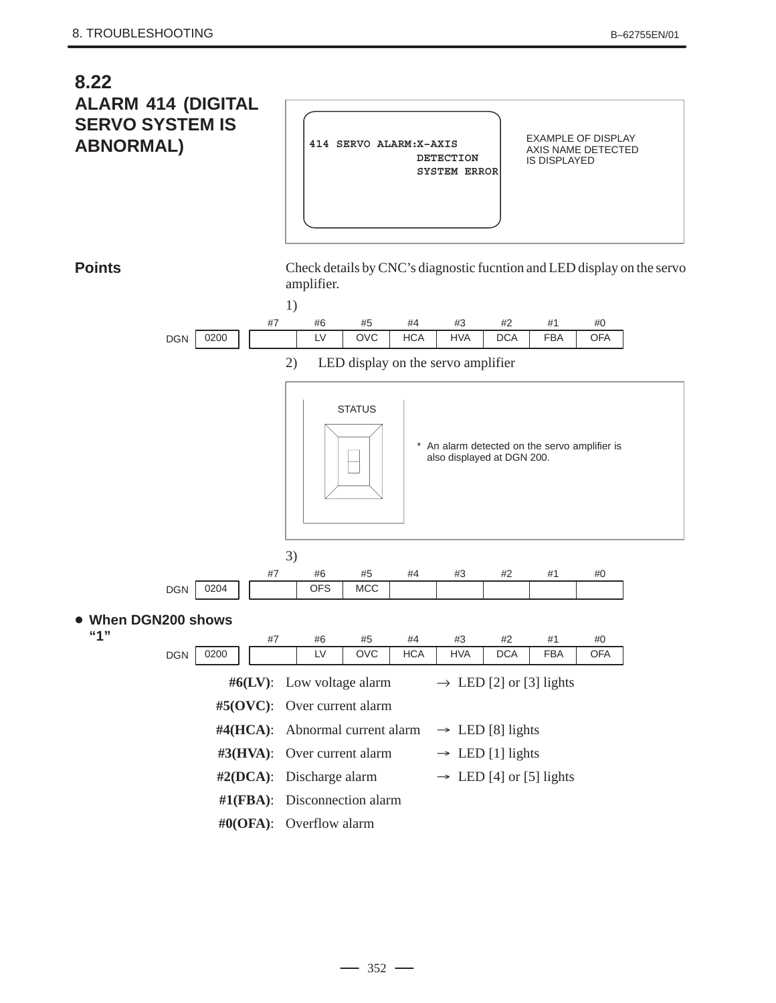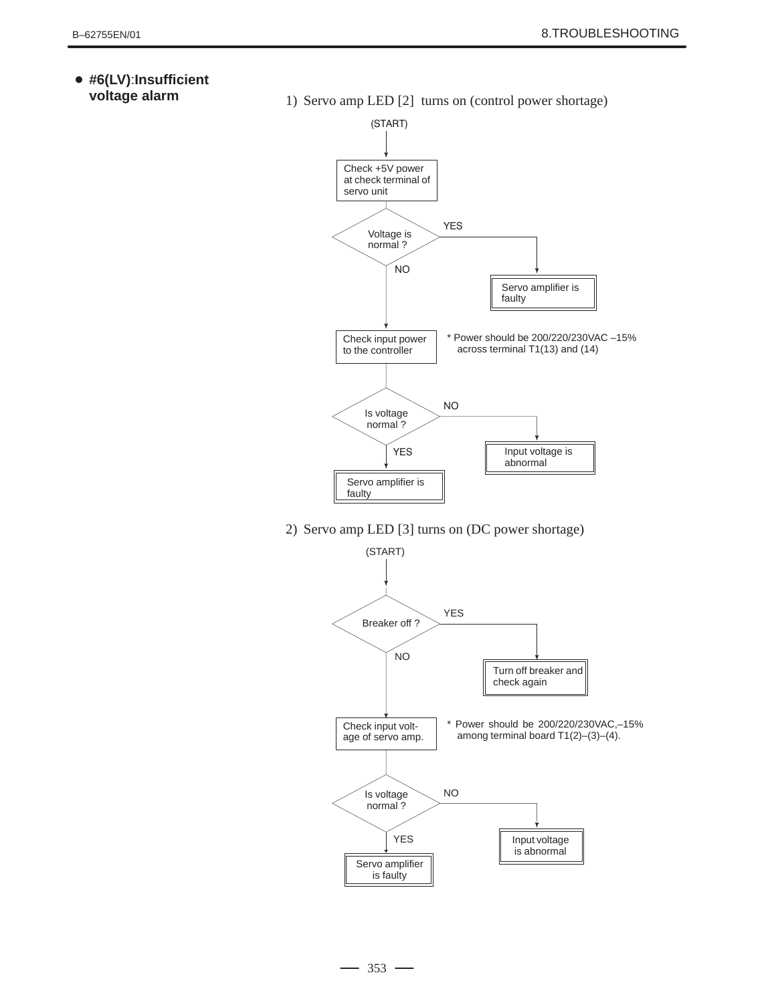#### - **#6(LV)**:**Insufficient voltage alarm**

1) Servo amp LED [2] turns on (control power shortage)



2) Servo amp LED [3] turns on (DC power shortage)

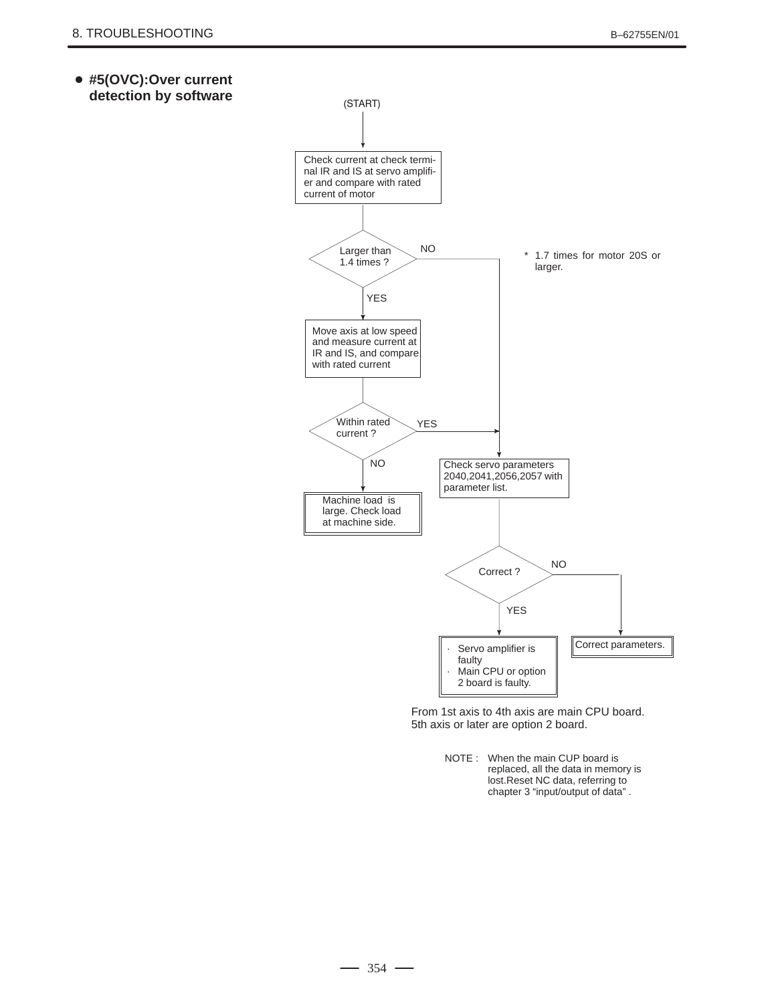



From 1st axis to 4th axis are main CPU board. 5th axis or later are option 2 board.

> NOTE : When the main CUP board is replaced, all the data in memory is lost.Reset NC data, referring to chapter 3 "input/output of data" .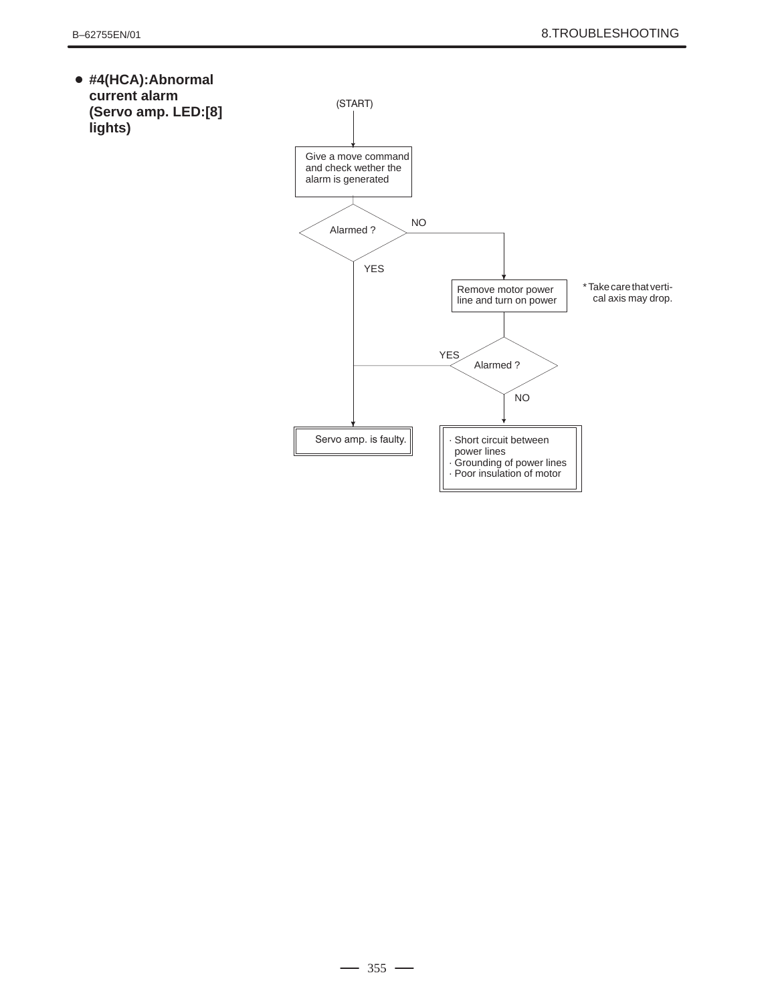

Servo amp. is faulty.

Short circuit between power lines

· Grounding of power lines · Poor insulation of motor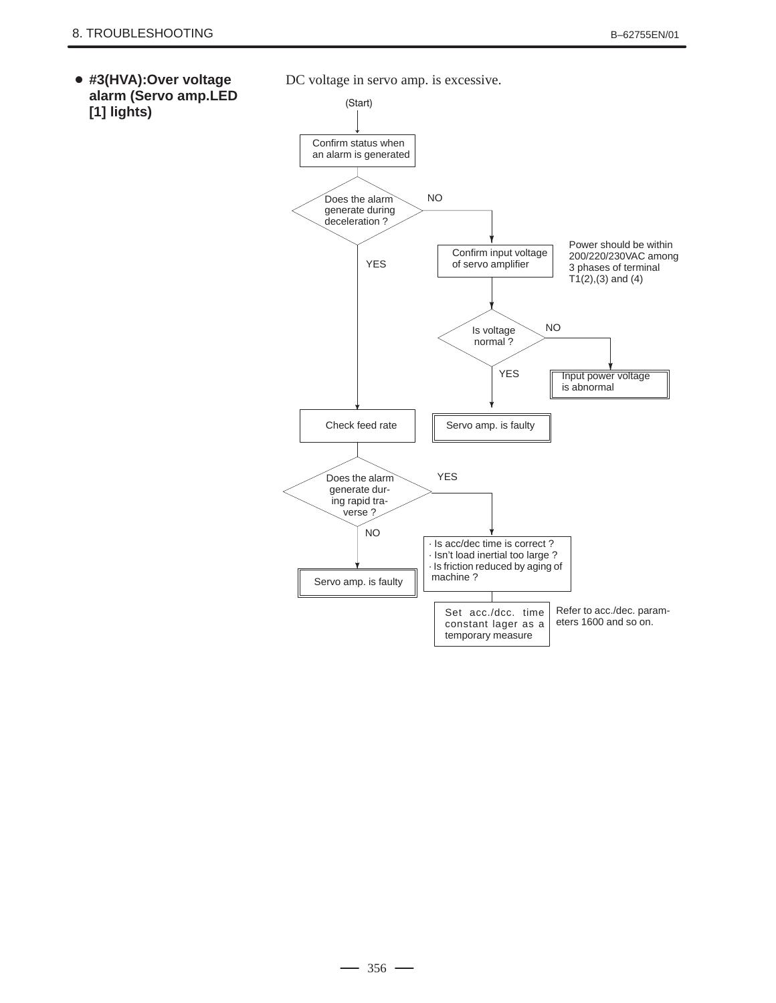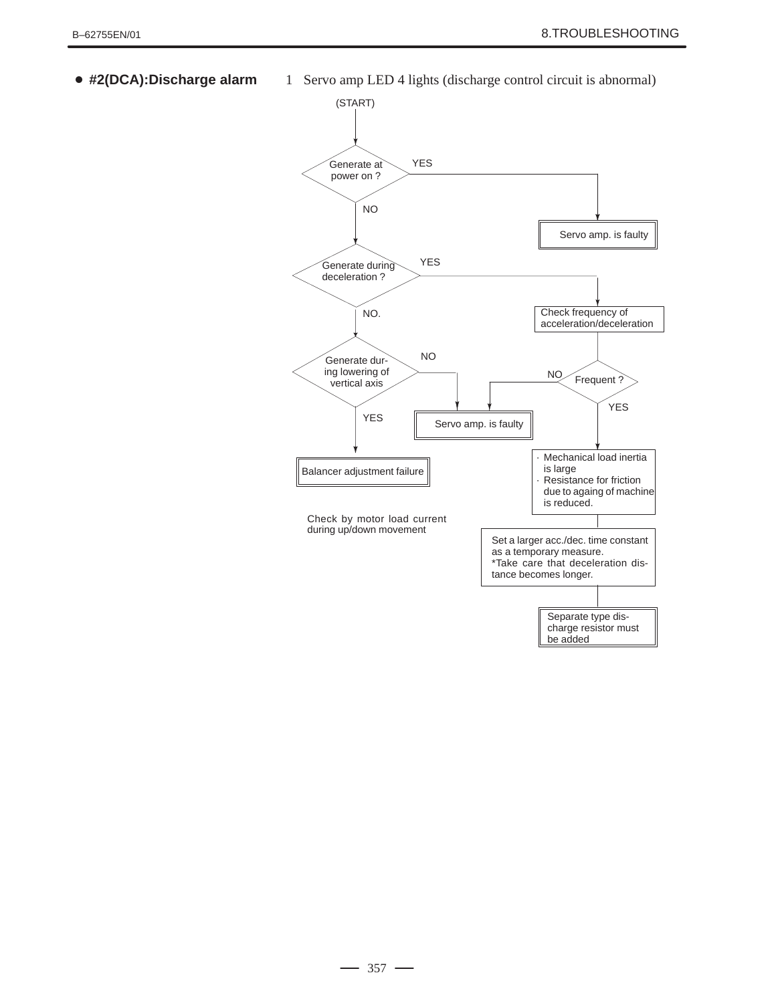- **#2(DCA):Discharge alarm**

1 Servo amp LED 4 lights (discharge control circuit is abnormal)

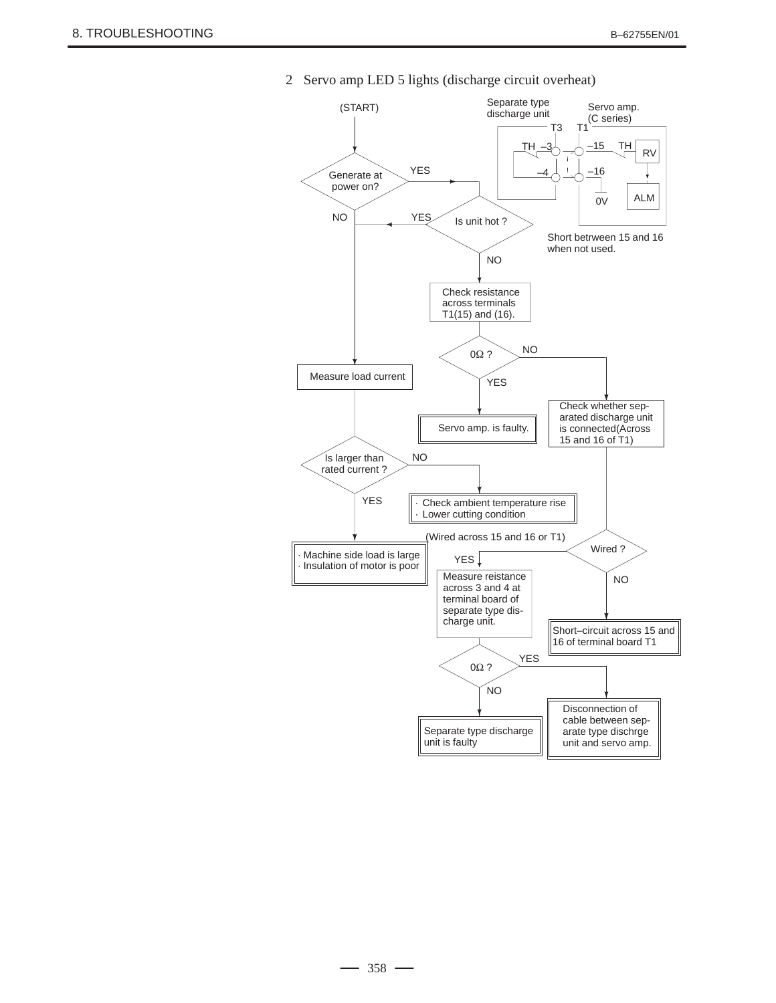- (Wired across 15 and 16 or T1) Generate at power on? (START) Is larger than rated current ? Wired ? YES NO NO YES Is unit hot ? Check resistance across terminals T1(15) and (16).  $0\Omega$  ? Measure load current Servo amp. is faulty. Check whether separated discharge unit is connected(Across 15 and 16 of T1) Check ambient temperature rise Lower cutting condition Machine side load is large · Insulation of motor is poor Measure reistance across 3 and 4 at terminal board of separate type dis-<br>charge unit. Short–circuit across 15 and 16 of terminal board T1 Separate type discharge unit is faulty Disconnection of cable between separate type dischrge unit and servo amp. T3 TH –3 –4 –15 –16 0V RV ALM TH T1 Separate type Separate type<br>discharge unit (C series) (C series) Short betrween 15 and 16 when not used. YES YES NO NO NO NO YES YES<sup>1</sup> 0Ω ?
- 2 Servo amp LED 5 lights (discharge circuit overheat)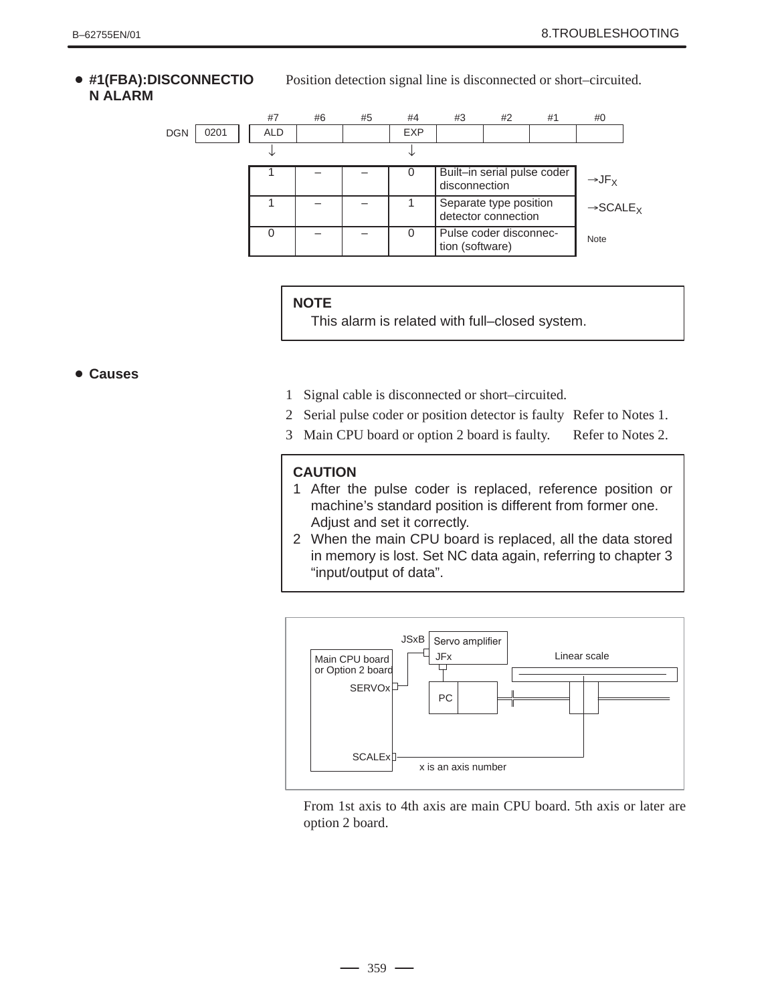#### - **#1(FBA):DISCONNECTIO N ALARM**

Position detection signal line is disconnected or short–circuited.



## **NOTE**

This alarm is related with full–closed system.

## - **Causes**

- 1 Signal cable is disconnected or short–circuited.
- 2 Serial pulse coder or position detector is faulty Refer to Notes 1.
- 3 Main CPU board or option 2 board is faulty. Refer to Notes 2.

# **CAUTION**

- 1 After the pulse coder is replaced, reference position or machine's standard position is different from former one. Adjust and set it correctly.
- 2 When the main CPU board is replaced, all the data stored in memory is lost. Set NC data again, referring to chapter 3 "input/output of data".



From 1st axis to 4th axis are main CPU board. 5th axis or later are option 2 board.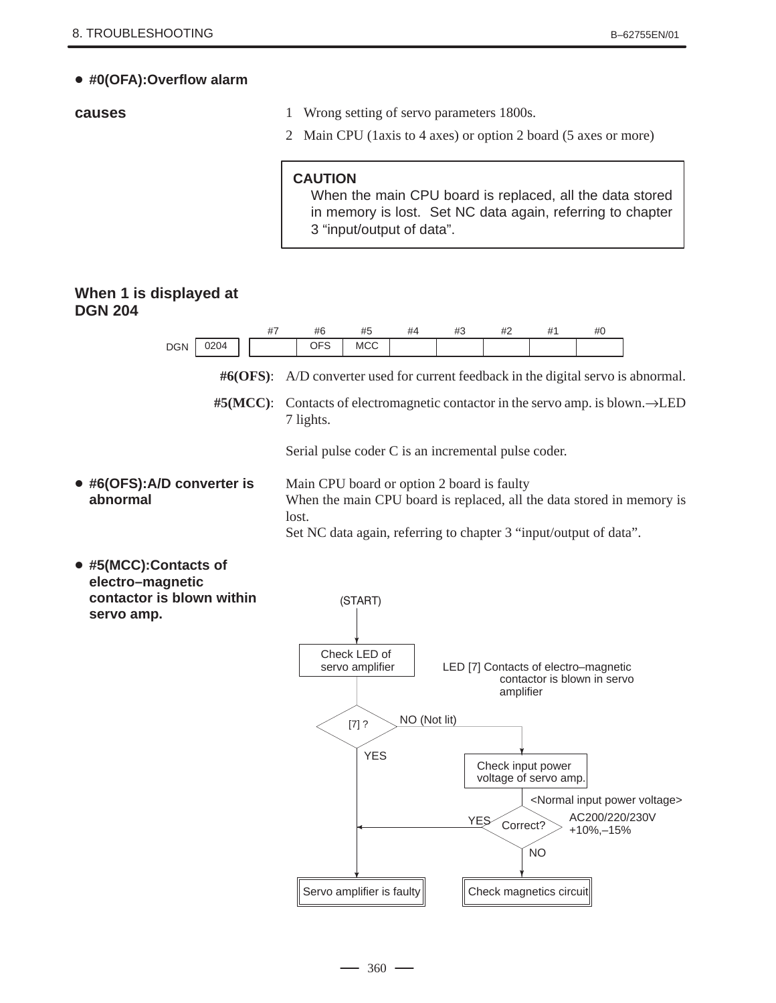# - **#0(OFA):Overflow alarm**

### **causes**

- 1 Wrong setting of servo parameters 1800s.
- 2 Main CPU (1axis to 4 axes) or option 2 board (5 axes or more)

# **CAUTION**

When the main CPU board is replaced, all the data stored in memory is lost. Set NC data again, referring to chapter 3 "input/output of data".

# **When 1 is displayed at DGN 204**



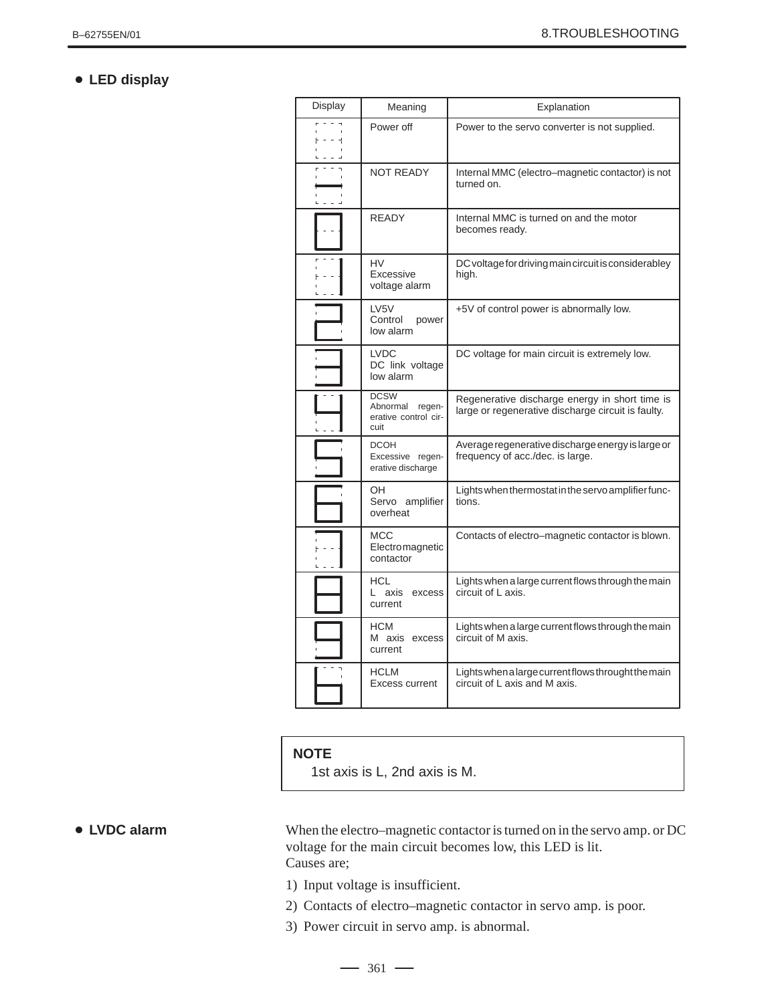### - **LED display**

| Display              | Meaning                                                           | Explanation                                                                                          |  |  |
|----------------------|-------------------------------------------------------------------|------------------------------------------------------------------------------------------------------|--|--|
| $\sim$ $\sim$ $\sim$ | Power off                                                         | Power to the servo converter is not supplied.                                                        |  |  |
| $- - - -$            | <b>NOT READY</b>                                                  | Internal MMC (electro-magnetic contactor) is not<br>turned on.                                       |  |  |
|                      | <b>READY</b>                                                      | Internal MMC is turned on and the motor<br>becomes ready.                                            |  |  |
|                      | HV<br>Excessive<br>voltage alarm                                  | DC voltage for driving main circuit is considerabley<br>high.                                        |  |  |
|                      | LV <sub>5V</sub><br>Control<br>power<br>low alarm                 | +5V of control power is abnormally low.                                                              |  |  |
|                      | <b>LVDC</b><br>DC link voltage<br>low alarm                       | DC voltage for main circuit is extremely low.                                                        |  |  |
|                      | <b>DCSW</b><br>Abnormal<br>regen-<br>erative control cir-<br>cuit | Regenerative discharge energy in short time is<br>large or regenerative discharge circuit is faulty. |  |  |
|                      | <b>DCOH</b><br>Excessive regen-<br>erative discharge              | Average regenerative discharge energy is large or<br>frequency of acc./dec. is large.                |  |  |
|                      | OH<br>Servo amplifier<br>overheat                                 | Lights when thermostat in the servo amplifier func-<br>tions.                                        |  |  |
|                      | MCC<br>Electromagnetic<br>contactor                               | Contacts of electro-magnetic contactor is blown.                                                     |  |  |
|                      | <b>HCL</b><br>L axis excess<br>current                            | Lights when a large current flows through the main<br>circuit of L axis.                             |  |  |
|                      | <b>HCM</b><br>M axis excess<br>current                            | Lights when a large current flows through the main<br>circuit of M axis.                             |  |  |
|                      | <b>HCLM</b><br>Excess current                                     | Lights when a large current flows throught the main<br>circuit of L axis and M axis.                 |  |  |

## **NOTE**

1st axis is L, 2nd axis is M.

#### - **LVDC alarm**

When the electro–magnetic contactor is turned on in the servo amp. or DC voltage for the main circuit becomes low, this LED is lit. Causes are;

- 1) Input voltage is insufficient.
- 2) Contacts of electro–magnetic contactor in servo amp. is poor.
- 3) Power circuit in servo amp. is abnormal.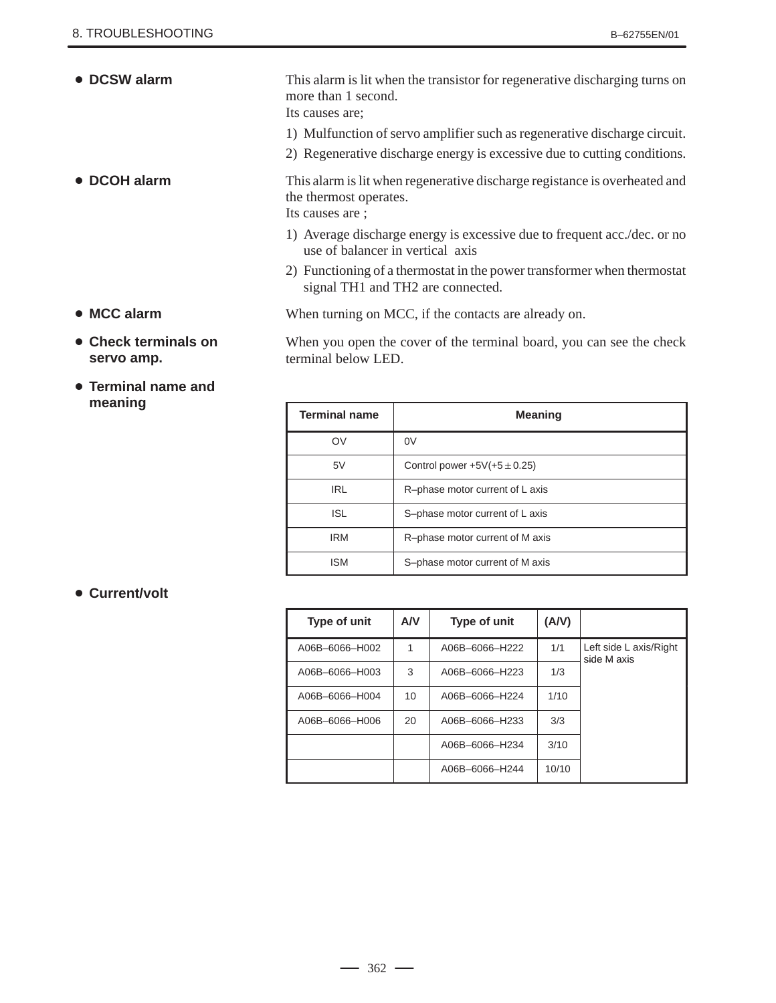This alarm is lit when the transistor for regenerative discharging turns on more than 1 second. Its causes are; 1) Mulfunction of servo amplifier such as regenerative discharge circuit. 2) Regenerative discharge energy is excessive due to cutting conditions. This alarm is lit when regenerative discharge registance is overheated and the thermost operates. Its causes are ; 1) Average discharge energy is excessive due to frequent acc./dec. or no use of balancer in vertical axis 2) Functioning of a thermostat in the power transformer when thermostat signal TH1 and TH2 are connected. When turning on MCC, if the contacts are already on. When you open the cover of the terminal board, you can see the check terminal below LED. - **DCSW alarm** - **DCOH alarm** - **MCC alarm** - **Check terminals on servo amp.** - **Terminal name and**

| <b>Terminal name</b> | <b>Meaning</b>                   |  |  |
|----------------------|----------------------------------|--|--|
| OV                   | 0V                               |  |  |
| 5V                   | Control power $+5V(+5 \pm 0.25)$ |  |  |
| <b>IRL</b>           | R-phase motor current of L axis  |  |  |
| <b>ISL</b>           | S-phase motor current of L axis  |  |  |
| <b>IRM</b>           | R-phase motor current of M axis  |  |  |
| ISM                  | S-phase motor current of M axis  |  |  |

| • Current/volt |
|----------------|
|                |

**meaning**

| Type of unit   | A/V | Type of unit   | (AV)  |                                       |
|----------------|-----|----------------|-------|---------------------------------------|
| A06B-6066-H002 |     | A06B-6066-H222 | 1/1   | Left side L axis/Right<br>side M axis |
| A06B-6066-H003 | 3   | A06B-6066-H223 | 1/3   |                                       |
| A06B-6066-H004 | 10  | A06B-6066-H224 | 1/10  |                                       |
| A06B-6066-H006 | 20  | A06B-6066-H233 | 3/3   |                                       |
|                |     | A06B-6066-H234 | 3/10  |                                       |
|                |     | A06B-6066-H244 | 10/10 |                                       |